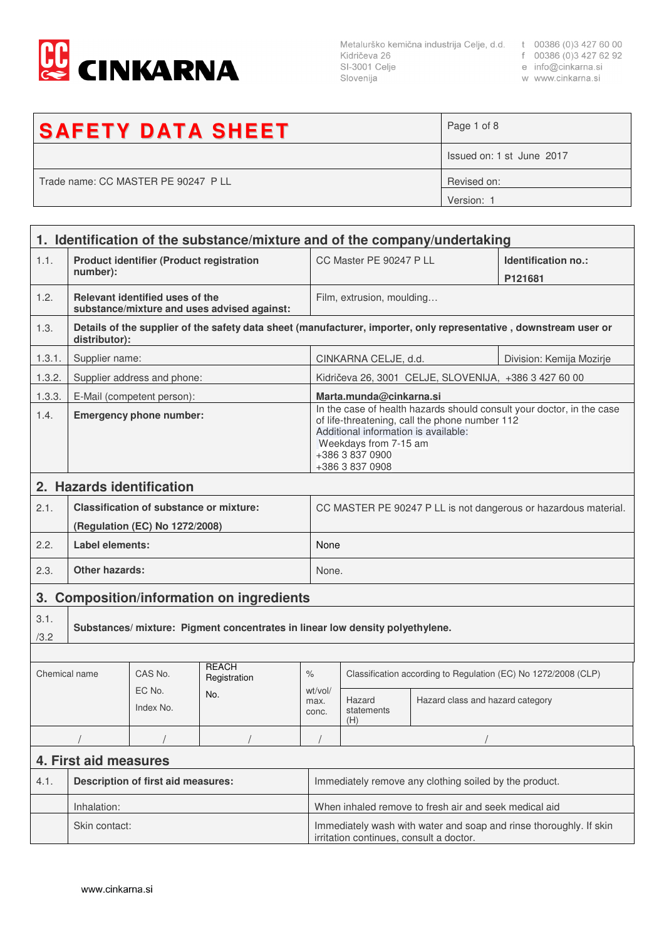

SI-3001 Celje Slovenija

- 
- r 00386 (0)3 427 6.<br>e info@cinkarna.si

| w www.cinkarna.si |  |
|-------------------|--|
|                   |  |

| <b>SAFETY DATA SHEET</b>            | Page 1 of 8               |
|-------------------------------------|---------------------------|
|                                     | Issued on: 1 st June 2017 |
| Trade name: CC MASTER PE 90247 P LL | Revised on:               |
|                                     | Version: 1                |

|                            | 1. Identification of the substance/mixture and of the company/undertaking |                                                |                                                                                                               |                                                                                                                                                                                                                                |                                                                 |                                                       |                                                                                                                   |
|----------------------------|---------------------------------------------------------------------------|------------------------------------------------|---------------------------------------------------------------------------------------------------------------|--------------------------------------------------------------------------------------------------------------------------------------------------------------------------------------------------------------------------------|-----------------------------------------------------------------|-------------------------------------------------------|-------------------------------------------------------------------------------------------------------------------|
| 1.1.                       | <b>Product identifier (Product registration</b><br>number):               |                                                |                                                                                                               | CC Master PE 90247 P LL                                                                                                                                                                                                        |                                                                 | Identification no.:<br>P121681                        |                                                                                                                   |
| 1.2.                       |                                                                           | Relevant identified uses of the                | substance/mixture and uses advised against:                                                                   |                                                                                                                                                                                                                                | Film, extrusion, moulding                                       |                                                       |                                                                                                                   |
| 1.3.                       | distributor):                                                             |                                                |                                                                                                               |                                                                                                                                                                                                                                |                                                                 |                                                       | Details of the supplier of the safety data sheet (manufacturer, importer, only representative, downstream user or |
| 1.3.1.                     | Supplier name:                                                            |                                                |                                                                                                               |                                                                                                                                                                                                                                | CINKARNA CELJE, d.d.                                            |                                                       | Division: Kemija Mozirje                                                                                          |
| 1.3.2.                     |                                                                           | Supplier address and phone:                    |                                                                                                               |                                                                                                                                                                                                                                |                                                                 | Kidričeva 26, 3001 CELJE, SLOVENIJA, +386 3 427 60 00 |                                                                                                                   |
| 1.3.3.                     |                                                                           | E-Mail (competent person):                     |                                                                                                               |                                                                                                                                                                                                                                | Marta.munda@cinkarna.si                                         |                                                       |                                                                                                                   |
| 1.4.                       | <b>Emergency phone number:</b>                                            |                                                |                                                                                                               | In the case of health hazards should consult your doctor, in the case<br>of life-threatening, call the phone number 112<br>Additional information is available:<br>Weekdays from 7-15 am<br>+386 3 837 0900<br>+386 3 837 0908 |                                                                 |                                                       |                                                                                                                   |
|                            |                                                                           | 2. Hazards identification                      |                                                                                                               |                                                                                                                                                                                                                                |                                                                 |                                                       |                                                                                                                   |
| 2.1.                       |                                                                           | <b>Classification of substance or mixture:</b> |                                                                                                               |                                                                                                                                                                                                                                | CC MASTER PE 90247 P LL is not dangerous or hazardous material. |                                                       |                                                                                                                   |
|                            |                                                                           | (Regulation (EC) No 1272/2008)                 |                                                                                                               |                                                                                                                                                                                                                                |                                                                 |                                                       |                                                                                                                   |
| 2.2.                       | Label elements:                                                           |                                                |                                                                                                               | None                                                                                                                                                                                                                           |                                                                 |                                                       |                                                                                                                   |
| 2.3.                       | <b>Other hazards:</b>                                                     |                                                |                                                                                                               | None.                                                                                                                                                                                                                          |                                                                 |                                                       |                                                                                                                   |
|                            | 3. Composition/information on ingredients                                 |                                                |                                                                                                               |                                                                                                                                                                                                                                |                                                                 |                                                       |                                                                                                                   |
| 3.1.<br>/3.2               |                                                                           |                                                | Substances/ mixture: Pigment concentrates in linear low density polyethylene.                                 |                                                                                                                                                                                                                                |                                                                 |                                                       |                                                                                                                   |
|                            |                                                                           |                                                |                                                                                                               |                                                                                                                                                                                                                                |                                                                 |                                                       |                                                                                                                   |
| Chemical name              |                                                                           | CAS No.                                        | <b>REACH</b><br>Registration                                                                                  | $\%$                                                                                                                                                                                                                           | Classification according to Regulation (EC) No 1272/2008 (CLP)  |                                                       |                                                                                                                   |
| EC No.<br>No.<br>Index No. |                                                                           | wt/vol/<br>max.<br>conc.                       | Hazard<br>statements<br>(H)                                                                                   | Hazard class and hazard category                                                                                                                                                                                               |                                                                 |                                                       |                                                                                                                   |
|                            |                                                                           |                                                |                                                                                                               |                                                                                                                                                                                                                                |                                                                 |                                                       |                                                                                                                   |
|                            | 4. First aid measures                                                     |                                                |                                                                                                               |                                                                                                                                                                                                                                |                                                                 |                                                       |                                                                                                                   |
| 4.1.                       | <b>Description of first aid measures:</b>                                 |                                                |                                                                                                               |                                                                                                                                                                                                                                | Immediately remove any clothing soiled by the product.          |                                                       |                                                                                                                   |
|                            | Inhalation:                                                               |                                                |                                                                                                               | When inhaled remove to fresh air and seek medical aid                                                                                                                                                                          |                                                                 |                                                       |                                                                                                                   |
|                            | Skin contact:                                                             |                                                | Immediately wash with water and soap and rinse thoroughly. If skin<br>irritation continues, consult a doctor. |                                                                                                                                                                                                                                |                                                                 |                                                       |                                                                                                                   |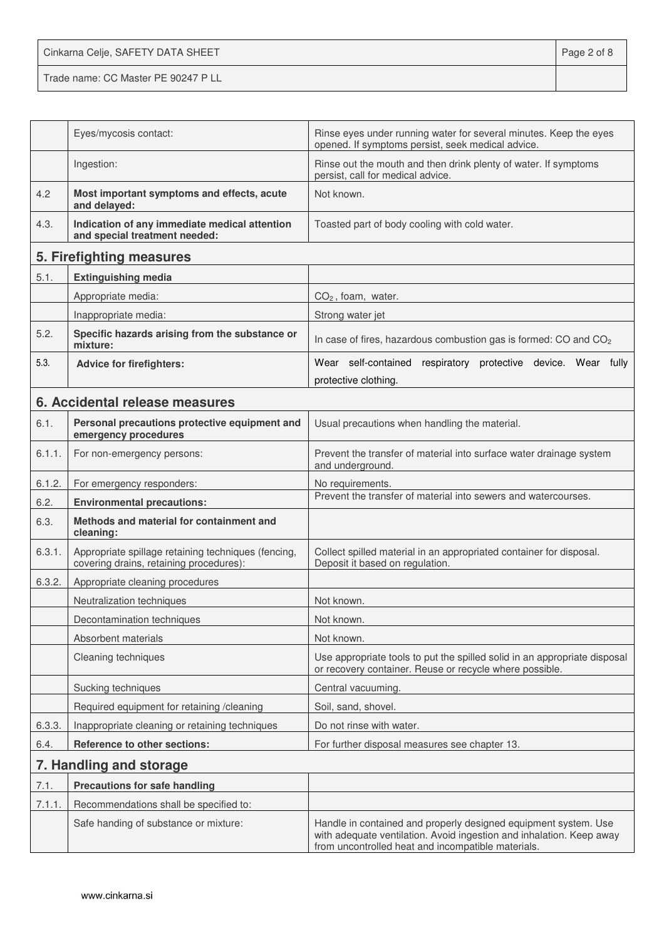Cinkarna Celje, SAFETY DATA SHEET **Page 2 of 8** Trade name: CC Master PE 90247 P LL

|        | Eyes/mycosis contact:                                                                          | Rinse eyes under running water for several minutes. Keep the eyes<br>opened. If symptoms persist, seek medical advice.                                                                        |
|--------|------------------------------------------------------------------------------------------------|-----------------------------------------------------------------------------------------------------------------------------------------------------------------------------------------------|
|        | Ingestion:                                                                                     | Rinse out the mouth and then drink plenty of water. If symptoms<br>persist, call for medical advice.                                                                                          |
| 4.2    | Most important symptoms and effects, acute<br>and delayed:                                     | Not known.                                                                                                                                                                                    |
| 4.3.   | Indication of any immediate medical attention<br>and special treatment needed:                 | Toasted part of body cooling with cold water.                                                                                                                                                 |
|        | 5. Firefighting measures                                                                       |                                                                                                                                                                                               |
| 5.1.   | <b>Extinguishing media</b>                                                                     |                                                                                                                                                                                               |
|        | Appropriate media:                                                                             | $CO2$ , foam, water.                                                                                                                                                                          |
|        | Inappropriate media:                                                                           | Strong water jet                                                                                                                                                                              |
| 5.2.   | Specific hazards arising from the substance or<br>mixture:                                     | In case of fires, hazardous combustion gas is formed: CO and CO <sub>2</sub>                                                                                                                  |
| 5.3.   | <b>Advice for firefighters:</b>                                                                | Wear self-contained<br>respiratory protective device. Wear fully                                                                                                                              |
|        |                                                                                                | protective clothing.                                                                                                                                                                          |
|        | 6. Accidental release measures                                                                 |                                                                                                                                                                                               |
| 6.1.   | Personal precautions protective equipment and<br>emergency procedures                          | Usual precautions when handling the material.                                                                                                                                                 |
| 6.1.1. | For non-emergency persons:                                                                     | Prevent the transfer of material into surface water drainage system<br>and underground.                                                                                                       |
| 6.1.2. | For emergency responders:                                                                      | No requirements.                                                                                                                                                                              |
| 6.2.   | <b>Environmental precautions:</b>                                                              | Prevent the transfer of material into sewers and watercourses.                                                                                                                                |
| 6.3.   | Methods and material for containment and<br>cleaning:                                          |                                                                                                                                                                                               |
| 6.3.1. | Appropriate spillage retaining techniques (fencing,<br>covering drains, retaining procedures): | Collect spilled material in an appropriated container for disposal.<br>Deposit it based on regulation.                                                                                        |
| 6.3.2. | Appropriate cleaning procedures                                                                |                                                                                                                                                                                               |
|        | Neutralization techniques                                                                      | Not known.                                                                                                                                                                                    |
|        | Decontamination techniques                                                                     | Not known.                                                                                                                                                                                    |
|        | Absorbent materials                                                                            | Not known.                                                                                                                                                                                    |
|        | Cleaning techniques                                                                            | Use appropriate tools to put the spilled solid in an appropriate disposal<br>or recovery container. Reuse or recycle where possible.                                                          |
|        | Sucking techniques                                                                             | Central vacuuming.                                                                                                                                                                            |
|        | Required equipment for retaining /cleaning                                                     | Soil, sand, shovel.                                                                                                                                                                           |
| 6.3.3. | Inappropriate cleaning or retaining techniques                                                 | Do not rinse with water.                                                                                                                                                                      |
| 6.4.   | <b>Reference to other sections:</b>                                                            | For further disposal measures see chapter 13.                                                                                                                                                 |
|        | 7. Handling and storage                                                                        |                                                                                                                                                                                               |
| 7.1.   | <b>Precautions for safe handling</b>                                                           |                                                                                                                                                                                               |
| 7.1.1. | Recommendations shall be specified to:                                                         |                                                                                                                                                                                               |
|        | Safe handing of substance or mixture:                                                          | Handle in contained and properly designed equipment system. Use<br>with adequate ventilation. Avoid ingestion and inhalation. Keep away<br>from uncontrolled heat and incompatible materials. |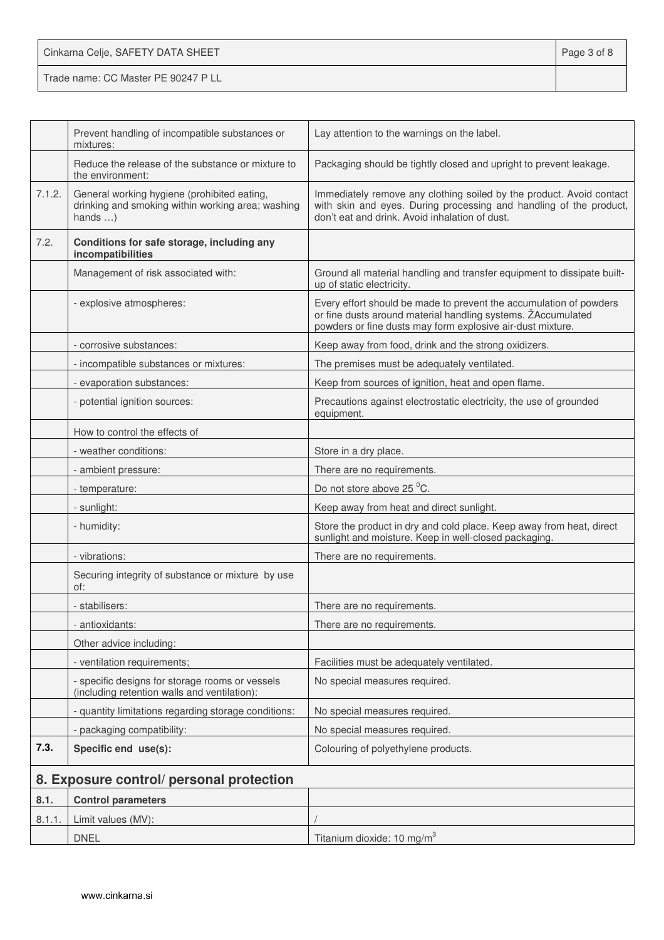| Cinkarna Celje, SAFETY DATA SHEET   | Page 3 of 8 |
|-------------------------------------|-------------|
| Trade name: CC Master PE 90247 P LL |             |

|        | Prevent handling of incompatible substances or<br>mixtures:                                                         | Lay attention to the warnings on the label.                                                                                                                                                      |
|--------|---------------------------------------------------------------------------------------------------------------------|--------------------------------------------------------------------------------------------------------------------------------------------------------------------------------------------------|
|        | Reduce the release of the substance or mixture to<br>the environment:                                               | Packaging should be tightly closed and upright to prevent leakage.                                                                                                                               |
| 7.1.2. | General working hygiene (prohibited eating,<br>drinking and smoking within working area; washing<br>hands $\dots$ ) | Immediately remove any clothing soiled by the product. Avoid contact<br>with skin and eyes. During processing and handling of the product,<br>don't eat and drink. Avoid inhalation of dust.     |
| 7.2.   | Conditions for safe storage, including any<br>incompatibilities                                                     |                                                                                                                                                                                                  |
|        | Management of risk associated with:                                                                                 | Ground all material handling and transfer equipment to dissipate built-<br>up of static electricity.                                                                                             |
|        | - explosive atmospheres:                                                                                            | Every effort should be made to prevent the accumulation of powders<br>or fine dusts around material handling systems. ŽAccumulated<br>powders or fine dusts may form explosive air-dust mixture. |
|        | - corrosive substances:                                                                                             | Keep away from food, drink and the strong oxidizers.                                                                                                                                             |
|        | - incompatible substances or mixtures:                                                                              | The premises must be adequately ventilated.                                                                                                                                                      |
|        | - evaporation substances:                                                                                           | Keep from sources of ignition, heat and open flame.                                                                                                                                              |
|        | - potential ignition sources:                                                                                       | Precautions against electrostatic electricity, the use of grounded<br>equipment.                                                                                                                 |
|        | How to control the effects of                                                                                       |                                                                                                                                                                                                  |
|        | - weather conditions:                                                                                               | Store in a dry place.                                                                                                                                                                            |
|        | - ambient pressure:                                                                                                 | There are no requirements.                                                                                                                                                                       |
|        | - temperature:                                                                                                      | Do not store above 25 °C.                                                                                                                                                                        |
|        | - sunlight:                                                                                                         | Keep away from heat and direct sunlight.                                                                                                                                                         |
|        | - humidity:                                                                                                         | Store the product in dry and cold place. Keep away from heat, direct<br>sunlight and moisture. Keep in well-closed packaging.                                                                    |
|        | - vibrations:                                                                                                       | There are no requirements.                                                                                                                                                                       |
|        | Securing integrity of substance or mixture by use<br>of:                                                            |                                                                                                                                                                                                  |
|        | - stabilisers:                                                                                                      | There are no requirements.                                                                                                                                                                       |
|        | - antioxidants:                                                                                                     | There are no requirements.                                                                                                                                                                       |
|        | Other advice including:                                                                                             |                                                                                                                                                                                                  |
|        | - ventilation requirements;                                                                                         | Facilities must be adequately ventilated.                                                                                                                                                        |
|        | - specific designs for storage rooms or vessels<br>(including retention walls and ventilation):                     | No special measures required.                                                                                                                                                                    |
|        | - quantity limitations regarding storage conditions:                                                                | No special measures required.                                                                                                                                                                    |
|        | - packaging compatibility:                                                                                          | No special measures required.                                                                                                                                                                    |
| 7.3.   | Specific end use(s):                                                                                                | Colouring of polyethylene products.                                                                                                                                                              |
|        | 8. Exposure control/ personal protection                                                                            |                                                                                                                                                                                                  |
| 8.1.   | <b>Control parameters</b>                                                                                           |                                                                                                                                                                                                  |
| 8.1.1. | Limit values (MV):                                                                                                  |                                                                                                                                                                                                  |
|        | <b>DNEL</b>                                                                                                         | Titanium dioxide: 10 mg/m <sup>3</sup>                                                                                                                                                           |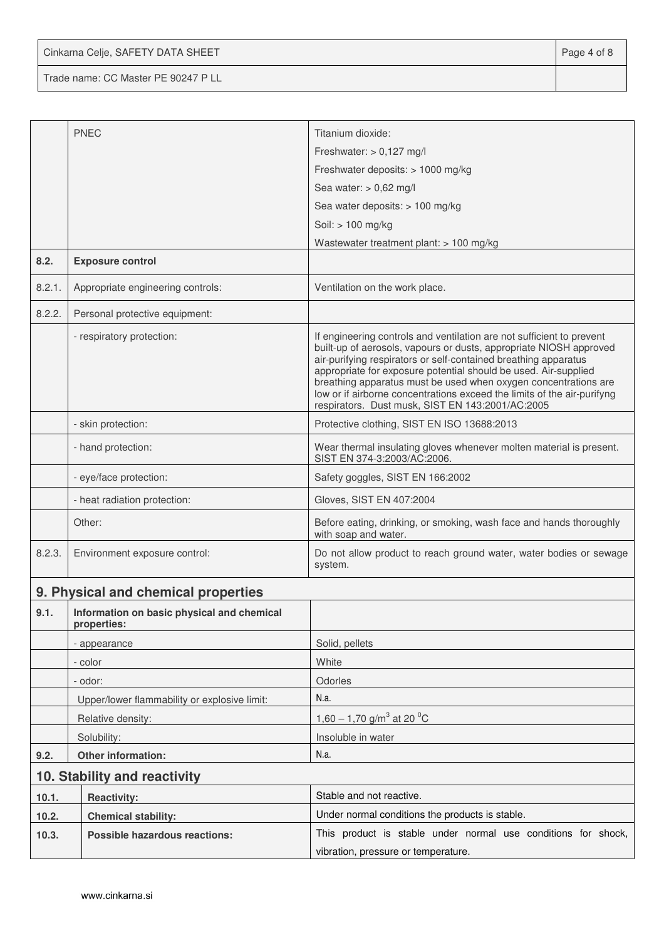Cinkarna Celje, SAFETY DATA SHEET **Page 4 of 8** 

Trade name: CC Master PE 90247 P LL

|                            | <b>PNEC</b>                                               | Titanium dioxide:                                                                                                                                                                                                                                                                                                                                                                                                                                                                   |  |  |
|----------------------------|-----------------------------------------------------------|-------------------------------------------------------------------------------------------------------------------------------------------------------------------------------------------------------------------------------------------------------------------------------------------------------------------------------------------------------------------------------------------------------------------------------------------------------------------------------------|--|--|
|                            |                                                           | Freshwater: $> 0,127$ mg/l                                                                                                                                                                                                                                                                                                                                                                                                                                                          |  |  |
|                            |                                                           | Freshwater deposits: > 1000 mg/kg                                                                                                                                                                                                                                                                                                                                                                                                                                                   |  |  |
|                            |                                                           | Sea water: $> 0.62$ mg/l                                                                                                                                                                                                                                                                                                                                                                                                                                                            |  |  |
|                            |                                                           | Sea water deposits: > 100 mg/kg                                                                                                                                                                                                                                                                                                                                                                                                                                                     |  |  |
|                            |                                                           | Soil: > 100 mg/kg                                                                                                                                                                                                                                                                                                                                                                                                                                                                   |  |  |
|                            |                                                           | Wastewater treatment plant: $> 100$ mg/kg                                                                                                                                                                                                                                                                                                                                                                                                                                           |  |  |
| 8.2.                       | <b>Exposure control</b>                                   |                                                                                                                                                                                                                                                                                                                                                                                                                                                                                     |  |  |
| 8.2.1.                     | Appropriate engineering controls:                         | Ventilation on the work place.                                                                                                                                                                                                                                                                                                                                                                                                                                                      |  |  |
| 8.2.2.                     | Personal protective equipment:                            |                                                                                                                                                                                                                                                                                                                                                                                                                                                                                     |  |  |
|                            | - respiratory protection:                                 | If engineering controls and ventilation are not sufficient to prevent<br>built-up of aerosols, vapours or dusts, appropriate NIOSH approved<br>air-purifying respirators or self-contained breathing apparatus<br>appropriate for exposure potential should be used. Air-supplied<br>breathing apparatus must be used when oxygen concentrations are<br>low or if airborne concentrations exceed the limits of the air-purifyng<br>respirators. Dust musk, SIST EN 143:2001/AC:2005 |  |  |
|                            | - skin protection:                                        | Protective clothing, SIST EN ISO 13688:2013                                                                                                                                                                                                                                                                                                                                                                                                                                         |  |  |
|                            | - hand protection:                                        | Wear thermal insulating gloves whenever molten material is present.<br>SIST EN 374-3:2003/AC:2006.                                                                                                                                                                                                                                                                                                                                                                                  |  |  |
|                            | - eye/face protection:                                    | Safety goggles, SIST EN 166:2002                                                                                                                                                                                                                                                                                                                                                                                                                                                    |  |  |
|                            | - heat radiation protection:                              | Gloves, SIST EN 407:2004                                                                                                                                                                                                                                                                                                                                                                                                                                                            |  |  |
|                            | Other:                                                    | Before eating, drinking, or smoking, wash face and hands thoroughly<br>with soap and water.                                                                                                                                                                                                                                                                                                                                                                                         |  |  |
| 8.2.3.                     | Environment exposure control:                             | Do not allow product to reach ground water, water bodies or sewage<br>system.                                                                                                                                                                                                                                                                                                                                                                                                       |  |  |
|                            | 9. Physical and chemical properties                       |                                                                                                                                                                                                                                                                                                                                                                                                                                                                                     |  |  |
| 9.1.                       | Information on basic physical and chemical<br>properties: |                                                                                                                                                                                                                                                                                                                                                                                                                                                                                     |  |  |
|                            | - appearance                                              | Solid, pellets                                                                                                                                                                                                                                                                                                                                                                                                                                                                      |  |  |
|                            | - color                                                   | White                                                                                                                                                                                                                                                                                                                                                                                                                                                                               |  |  |
|                            | - odor:                                                   | Odorles                                                                                                                                                                                                                                                                                                                                                                                                                                                                             |  |  |
|                            | Upper/lower flammability or explosive limit:              | N.a.                                                                                                                                                                                                                                                                                                                                                                                                                                                                                |  |  |
|                            | Relative density:                                         | 1,60 – 1,70 g/m <sup>3</sup> at 20 <sup>o</sup> C                                                                                                                                                                                                                                                                                                                                                                                                                                   |  |  |
|                            | Solubility:                                               | Insoluble in water                                                                                                                                                                                                                                                                                                                                                                                                                                                                  |  |  |
| Other information:<br>9.2. |                                                           | N.a.                                                                                                                                                                                                                                                                                                                                                                                                                                                                                |  |  |
|                            | 10. Stability and reactivity                              |                                                                                                                                                                                                                                                                                                                                                                                                                                                                                     |  |  |
| 10.1.                      | <b>Reactivity:</b>                                        | Stable and not reactive.                                                                                                                                                                                                                                                                                                                                                                                                                                                            |  |  |
| 10.2.                      | <b>Chemical stability:</b>                                | Under normal conditions the products is stable.                                                                                                                                                                                                                                                                                                                                                                                                                                     |  |  |
| 10.3.                      | <b>Possible hazardous reactions:</b>                      | This product is stable under normal use conditions for shock,                                                                                                                                                                                                                                                                                                                                                                                                                       |  |  |
|                            |                                                           | vibration, pressure or temperature.                                                                                                                                                                                                                                                                                                                                                                                                                                                 |  |  |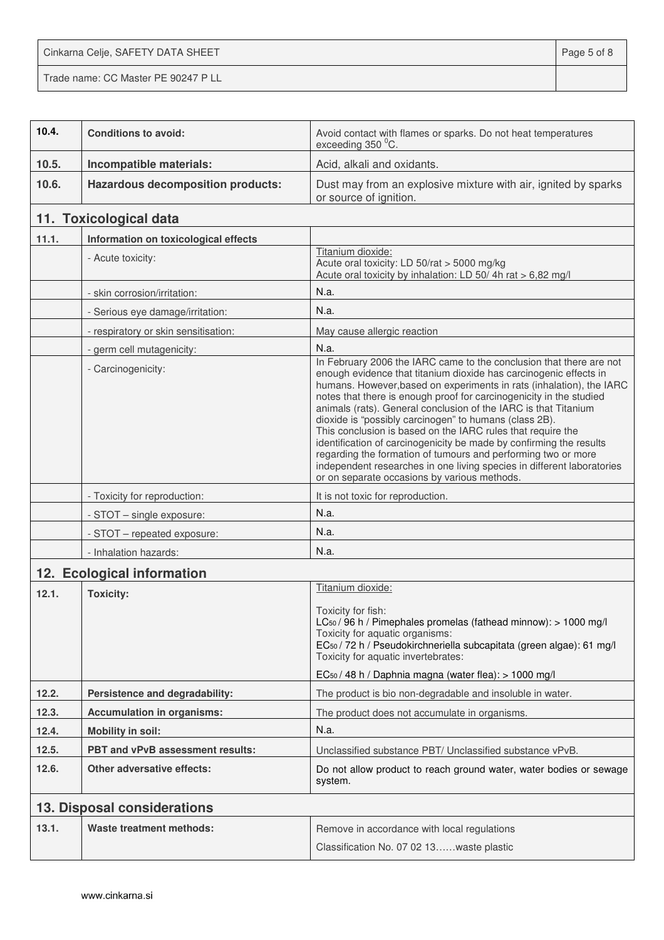Cinkarna Celje, SAFETY DATA SHEET **Page 5 of 8** Trade name: CC Master PE 90247 P LL

| 10.4. | <b>Conditions to avoid:</b>              | Avoid contact with flames or sparks. Do not heat temperatures<br>exceeding 350 °C.                                                                                                                                                                                                                                                                                                                                                                                                                                                                                                                                                                                                                                                                    |  |  |  |
|-------|------------------------------------------|-------------------------------------------------------------------------------------------------------------------------------------------------------------------------------------------------------------------------------------------------------------------------------------------------------------------------------------------------------------------------------------------------------------------------------------------------------------------------------------------------------------------------------------------------------------------------------------------------------------------------------------------------------------------------------------------------------------------------------------------------------|--|--|--|
| 10.5. | Incompatible materials:                  | Acid, alkali and oxidants.                                                                                                                                                                                                                                                                                                                                                                                                                                                                                                                                                                                                                                                                                                                            |  |  |  |
| 10.6. | <b>Hazardous decomposition products:</b> | Dust may from an explosive mixture with air, ignited by sparks<br>or source of ignition.                                                                                                                                                                                                                                                                                                                                                                                                                                                                                                                                                                                                                                                              |  |  |  |
|       | 11. Toxicological data                   |                                                                                                                                                                                                                                                                                                                                                                                                                                                                                                                                                                                                                                                                                                                                                       |  |  |  |
| 11.1. | Information on toxicological effects     |                                                                                                                                                                                                                                                                                                                                                                                                                                                                                                                                                                                                                                                                                                                                                       |  |  |  |
|       | - Acute toxicity:                        | Titanium dioxide:<br>Acute oral toxicity: LD 50/rat > 5000 mg/kg<br>Acute oral toxicity by inhalation: LD 50/4h rat > 6,82 mg/l                                                                                                                                                                                                                                                                                                                                                                                                                                                                                                                                                                                                                       |  |  |  |
|       | - skin corrosion/irritation:             | N.a.                                                                                                                                                                                                                                                                                                                                                                                                                                                                                                                                                                                                                                                                                                                                                  |  |  |  |
|       | - Serious eye damage/irritation:         | N.a.                                                                                                                                                                                                                                                                                                                                                                                                                                                                                                                                                                                                                                                                                                                                                  |  |  |  |
|       | - respiratory or skin sensitisation:     | May cause allergic reaction                                                                                                                                                                                                                                                                                                                                                                                                                                                                                                                                                                                                                                                                                                                           |  |  |  |
|       | - germ cell mutagenicity:                | N.a.                                                                                                                                                                                                                                                                                                                                                                                                                                                                                                                                                                                                                                                                                                                                                  |  |  |  |
|       | - Carcinogenicity:                       | In February 2006 the IARC came to the conclusion that there are not<br>enough evidence that titanium dioxide has carcinogenic effects in<br>humans. However, based on experiments in rats (inhalation), the IARC<br>notes that there is enough proof for carcinogenicity in the studied<br>animals (rats). General conclusion of the IARC is that Titanium<br>dioxide is "possibly carcinogen" to humans (class 2B).<br>This conclusion is based on the IARC rules that require the<br>identification of carcinogenicity be made by confirming the results<br>regarding the formation of tumours and performing two or more<br>independent researches in one living species in different laboratories<br>or on separate occasions by various methods. |  |  |  |
|       | - Toxicity for reproduction:             | It is not toxic for reproduction.                                                                                                                                                                                                                                                                                                                                                                                                                                                                                                                                                                                                                                                                                                                     |  |  |  |
|       | - STOT - single exposure:                | N.a.                                                                                                                                                                                                                                                                                                                                                                                                                                                                                                                                                                                                                                                                                                                                                  |  |  |  |
|       | - STOT - repeated exposure:              | N.a.                                                                                                                                                                                                                                                                                                                                                                                                                                                                                                                                                                                                                                                                                                                                                  |  |  |  |
|       | - Inhalation hazards:                    | N.a.                                                                                                                                                                                                                                                                                                                                                                                                                                                                                                                                                                                                                                                                                                                                                  |  |  |  |
|       | 12. Ecological information               |                                                                                                                                                                                                                                                                                                                                                                                                                                                                                                                                                                                                                                                                                                                                                       |  |  |  |
| 12.1. | <b>Toxicity:</b>                         | Titanium dioxide:<br>Toxicity for fish:<br>LC <sub>50</sub> / 96 h / Pimephales promelas (fathead minnow): > 1000 mg/l<br>Toxicity for aquatic organisms:<br>EC <sub>50</sub> / 72 h / Pseudokirchneriella subcapitata (green algae): 61 mg/l<br>Toxicity for aquatic invertebrates:<br>EC <sub>50</sub> / 48 h / Daphnia magna (water flea): > 1000 mg/l                                                                                                                                                                                                                                                                                                                                                                                             |  |  |  |
| 12.2. | Persistence and degradability:           | The product is bio non-degradable and insoluble in water.                                                                                                                                                                                                                                                                                                                                                                                                                                                                                                                                                                                                                                                                                             |  |  |  |
| 12.3. | <b>Accumulation in organisms:</b>        | The product does not accumulate in organisms.                                                                                                                                                                                                                                                                                                                                                                                                                                                                                                                                                                                                                                                                                                         |  |  |  |
| 12.4. | <b>Mobility in soil:</b>                 | N.a.                                                                                                                                                                                                                                                                                                                                                                                                                                                                                                                                                                                                                                                                                                                                                  |  |  |  |
| 12.5. | <b>PBT and vPvB assessment results:</b>  | Unclassified substance PBT/ Unclassified substance vPvB.                                                                                                                                                                                                                                                                                                                                                                                                                                                                                                                                                                                                                                                                                              |  |  |  |
| 12.6. | <b>Other adversative effects:</b>        | Do not allow product to reach ground water, water bodies or sewage<br>system.                                                                                                                                                                                                                                                                                                                                                                                                                                                                                                                                                                                                                                                                         |  |  |  |
|       | 13. Disposal considerations              |                                                                                                                                                                                                                                                                                                                                                                                                                                                                                                                                                                                                                                                                                                                                                       |  |  |  |
| 13.1. | <b>Waste treatment methods:</b>          | Remove in accordance with local regulations<br>Classification No. 07 02 13waste plastic                                                                                                                                                                                                                                                                                                                                                                                                                                                                                                                                                                                                                                                               |  |  |  |
|       |                                          |                                                                                                                                                                                                                                                                                                                                                                                                                                                                                                                                                                                                                                                                                                                                                       |  |  |  |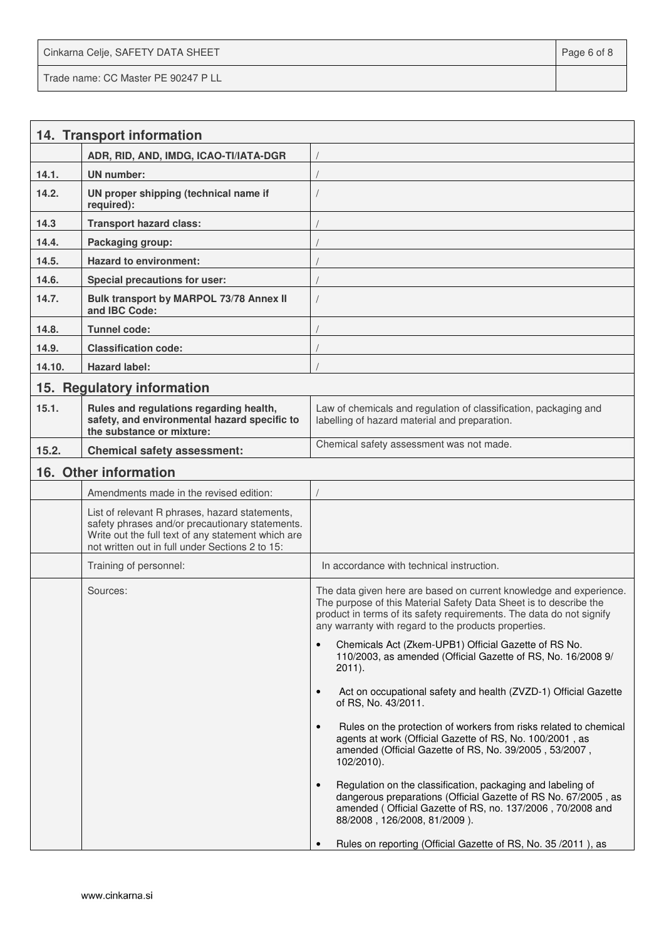Cinkarna Celje, SAFETY DATA SHEET **Page 6 of 8** and 2011 12 and 2012 12 and 2012 12 and 2012 12 and 2012 12 and 201 Trade name: CC Master PE 90247 P LL

|        | 14. Transport information                                                                                                                                                                                  |                                                                                                                                                                                                                                                                         |
|--------|------------------------------------------------------------------------------------------------------------------------------------------------------------------------------------------------------------|-------------------------------------------------------------------------------------------------------------------------------------------------------------------------------------------------------------------------------------------------------------------------|
|        | ADR, RID, AND, IMDG, ICAO-TI/IATA-DGR                                                                                                                                                                      |                                                                                                                                                                                                                                                                         |
| 14.1.  | <b>UN</b> number:                                                                                                                                                                                          |                                                                                                                                                                                                                                                                         |
| 14.2.  | UN proper shipping (technical name if<br>required):                                                                                                                                                        |                                                                                                                                                                                                                                                                         |
| 14.3   | <b>Transport hazard class:</b>                                                                                                                                                                             |                                                                                                                                                                                                                                                                         |
| 14.4.  | Packaging group:                                                                                                                                                                                           |                                                                                                                                                                                                                                                                         |
| 14.5.  | <b>Hazard to environment:</b>                                                                                                                                                                              |                                                                                                                                                                                                                                                                         |
| 14.6.  | Special precautions for user:                                                                                                                                                                              |                                                                                                                                                                                                                                                                         |
| 14.7.  | Bulk transport by MARPOL 73/78 Annex II<br>and IBC Code:                                                                                                                                                   |                                                                                                                                                                                                                                                                         |
| 14.8.  | Tunnel code:                                                                                                                                                                                               |                                                                                                                                                                                                                                                                         |
| 14.9.  | <b>Classification code:</b>                                                                                                                                                                                |                                                                                                                                                                                                                                                                         |
| 14.10. | <b>Hazard label:</b>                                                                                                                                                                                       |                                                                                                                                                                                                                                                                         |
|        | 15. Regulatory information                                                                                                                                                                                 |                                                                                                                                                                                                                                                                         |
| 15.1.  | Rules and regulations regarding health,<br>safety, and environmental hazard specific to<br>the substance or mixture:                                                                                       | Law of chemicals and regulation of classification, packaging and<br>labelling of hazard material and preparation.                                                                                                                                                       |
| 15.2.  | <b>Chemical safety assessment:</b>                                                                                                                                                                         | Chemical safety assessment was not made.                                                                                                                                                                                                                                |
|        | 16. Other information                                                                                                                                                                                      |                                                                                                                                                                                                                                                                         |
|        | Amendments made in the revised edition:                                                                                                                                                                    |                                                                                                                                                                                                                                                                         |
|        | List of relevant R phrases, hazard statements,<br>safety phrases and/or precautionary statements.<br>Write out the full text of any statement which are<br>not written out in full under Sections 2 to 15: |                                                                                                                                                                                                                                                                         |
|        | Training of personnel:                                                                                                                                                                                     | In accordance with technical instruction.                                                                                                                                                                                                                               |
|        | Sources:                                                                                                                                                                                                   | The data given here are based on current knowledge and experience.<br>The purpose of this Material Safety Data Sheet is to describe the<br>product in terms of its safety requirements. The data do not signify<br>any warranty with regard to the products properties. |
|        |                                                                                                                                                                                                            | Chemicals Act (Zkem-UPB1) Official Gazette of RS No.<br>110/2003, as amended (Official Gazette of RS, No. 16/2008 9/<br>$2011$ ).                                                                                                                                       |
|        |                                                                                                                                                                                                            | Act on occupational safety and health (ZVZD-1) Official Gazette<br>$\bullet$<br>of RS, No. 43/2011.                                                                                                                                                                     |
|        |                                                                                                                                                                                                            | Rules on the protection of workers from risks related to chemical<br>$\bullet$<br>agents at work (Official Gazette of RS, No. 100/2001, as<br>amended (Official Gazette of RS, No. 39/2005, 53/2007,<br>102/2010).                                                      |
|        |                                                                                                                                                                                                            | Regulation on the classification, packaging and labeling of<br>$\bullet$<br>dangerous preparations (Official Gazette of RS No. 67/2005, as<br>amended (Official Gazette of RS, no. 137/2006, 70/2008 and<br>88/2008, 126/2008, 81/2009).                                |
|        |                                                                                                                                                                                                            | Rules on reporting (Official Gazette of RS, No. 35/2011), as                                                                                                                                                                                                            |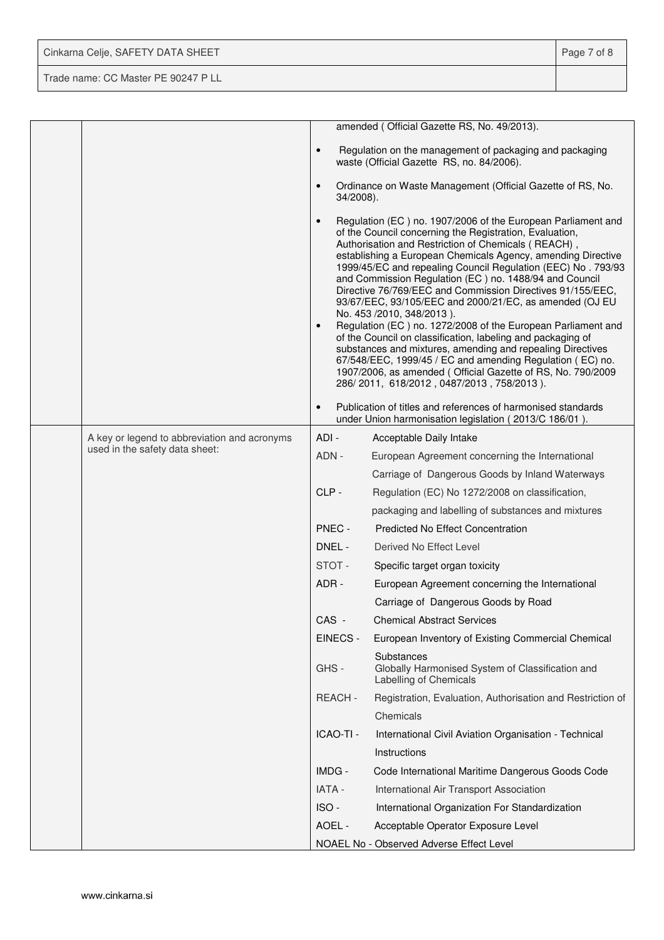| Cinkarna Celje, SAFETY DATA SHEET   | Page 7 of 8 |
|-------------------------------------|-------------|
| Trade name: CC Master PE 90247 P LL |             |

|                                              |                        | amended (Official Gazette RS, No. 49/2013).                                                                                                                                                                                                                                                                                                                                                                                                                                                                                                                                                                                                                                                                                                                                                                                                                                                          |
|----------------------------------------------|------------------------|------------------------------------------------------------------------------------------------------------------------------------------------------------------------------------------------------------------------------------------------------------------------------------------------------------------------------------------------------------------------------------------------------------------------------------------------------------------------------------------------------------------------------------------------------------------------------------------------------------------------------------------------------------------------------------------------------------------------------------------------------------------------------------------------------------------------------------------------------------------------------------------------------|
|                                              | $\bullet$              | Regulation on the management of packaging and packaging<br>waste (Official Gazette RS, no. 84/2006).                                                                                                                                                                                                                                                                                                                                                                                                                                                                                                                                                                                                                                                                                                                                                                                                 |
|                                              | $\bullet$<br>34/2008). | Ordinance on Waste Management (Official Gazette of RS, No.                                                                                                                                                                                                                                                                                                                                                                                                                                                                                                                                                                                                                                                                                                                                                                                                                                           |
|                                              | $\bullet$<br>$\bullet$ | Regulation (EC) no. 1907/2006 of the European Parliament and<br>of the Council concerning the Registration, Evaluation,<br>Authorisation and Restriction of Chemicals (REACH),<br>establishing a European Chemicals Agency, amending Directive<br>1999/45/EC and repealing Council Regulation (EEC) No. 793/93<br>and Commission Regulation (EC) no. 1488/94 and Council<br>Directive 76/769/EEC and Commission Directives 91/155/EEC,<br>93/67/EEC, 93/105/EEC and 2000/21/EC, as amended (OJ EU<br>No. 453 /2010, 348/2013).<br>Regulation (EC) no. 1272/2008 of the European Parliament and<br>of the Council on classification, labeling and packaging of<br>substances and mixtures, amending and repealing Directives<br>67/548/EEC, 1999/45 / EC and amending Regulation (EC) no.<br>1907/2006, as amended (Official Gazette of RS, No. 790/2009<br>286/2011, 618/2012, 0487/2013, 758/2013). |
|                                              | $\bullet$              | Publication of titles and references of harmonised standards<br>under Union harmonisation legislation (2013/C 186/01).                                                                                                                                                                                                                                                                                                                                                                                                                                                                                                                                                                                                                                                                                                                                                                               |
| A key or legend to abbreviation and acronyms | ADI -                  | Acceptable Daily Intake                                                                                                                                                                                                                                                                                                                                                                                                                                                                                                                                                                                                                                                                                                                                                                                                                                                                              |
| used in the safety data sheet:               | ADN -                  | European Agreement concerning the International                                                                                                                                                                                                                                                                                                                                                                                                                                                                                                                                                                                                                                                                                                                                                                                                                                                      |
|                                              |                        | Carriage of Dangerous Goods by Inland Waterways                                                                                                                                                                                                                                                                                                                                                                                                                                                                                                                                                                                                                                                                                                                                                                                                                                                      |
|                                              | CLP-                   | Regulation (EC) No 1272/2008 on classification,                                                                                                                                                                                                                                                                                                                                                                                                                                                                                                                                                                                                                                                                                                                                                                                                                                                      |
|                                              |                        | packaging and labelling of substances and mixtures                                                                                                                                                                                                                                                                                                                                                                                                                                                                                                                                                                                                                                                                                                                                                                                                                                                   |
|                                              | PNEC -                 | <b>Predicted No Effect Concentration</b>                                                                                                                                                                                                                                                                                                                                                                                                                                                                                                                                                                                                                                                                                                                                                                                                                                                             |
|                                              | DNEL -                 | Derived No Effect Level                                                                                                                                                                                                                                                                                                                                                                                                                                                                                                                                                                                                                                                                                                                                                                                                                                                                              |
|                                              | STOT-                  | Specific target organ toxicity                                                                                                                                                                                                                                                                                                                                                                                                                                                                                                                                                                                                                                                                                                                                                                                                                                                                       |
|                                              | ADR -                  | European Agreement concerning the International                                                                                                                                                                                                                                                                                                                                                                                                                                                                                                                                                                                                                                                                                                                                                                                                                                                      |
|                                              |                        | Carriage of Dangerous Goods by Road                                                                                                                                                                                                                                                                                                                                                                                                                                                                                                                                                                                                                                                                                                                                                                                                                                                                  |
|                                              | CAS -                  | <b>Chemical Abstract Services</b>                                                                                                                                                                                                                                                                                                                                                                                                                                                                                                                                                                                                                                                                                                                                                                                                                                                                    |
|                                              | EINECS -               | European Inventory of Existing Commercial Chemical                                                                                                                                                                                                                                                                                                                                                                                                                                                                                                                                                                                                                                                                                                                                                                                                                                                   |
|                                              | GHS-                   | Substances<br>Globally Harmonised System of Classification and<br>Labelling of Chemicals                                                                                                                                                                                                                                                                                                                                                                                                                                                                                                                                                                                                                                                                                                                                                                                                             |
|                                              | REACH-                 | Registration, Evaluation, Authorisation and Restriction of                                                                                                                                                                                                                                                                                                                                                                                                                                                                                                                                                                                                                                                                                                                                                                                                                                           |
|                                              |                        | Chemicals                                                                                                                                                                                                                                                                                                                                                                                                                                                                                                                                                                                                                                                                                                                                                                                                                                                                                            |
|                                              | ICAO-TI -              | International Civil Aviation Organisation - Technical                                                                                                                                                                                                                                                                                                                                                                                                                                                                                                                                                                                                                                                                                                                                                                                                                                                |
|                                              |                        | Instructions                                                                                                                                                                                                                                                                                                                                                                                                                                                                                                                                                                                                                                                                                                                                                                                                                                                                                         |
|                                              | IMDG -                 | Code International Maritime Dangerous Goods Code                                                                                                                                                                                                                                                                                                                                                                                                                                                                                                                                                                                                                                                                                                                                                                                                                                                     |
|                                              | IATA -                 | International Air Transport Association                                                                                                                                                                                                                                                                                                                                                                                                                                                                                                                                                                                                                                                                                                                                                                                                                                                              |
|                                              | ISO-                   | International Organization For Standardization                                                                                                                                                                                                                                                                                                                                                                                                                                                                                                                                                                                                                                                                                                                                                                                                                                                       |
|                                              | AOEL -                 | Acceptable Operator Exposure Level                                                                                                                                                                                                                                                                                                                                                                                                                                                                                                                                                                                                                                                                                                                                                                                                                                                                   |
|                                              |                        | NOAEL No - Observed Adverse Effect Level                                                                                                                                                                                                                                                                                                                                                                                                                                                                                                                                                                                                                                                                                                                                                                                                                                                             |